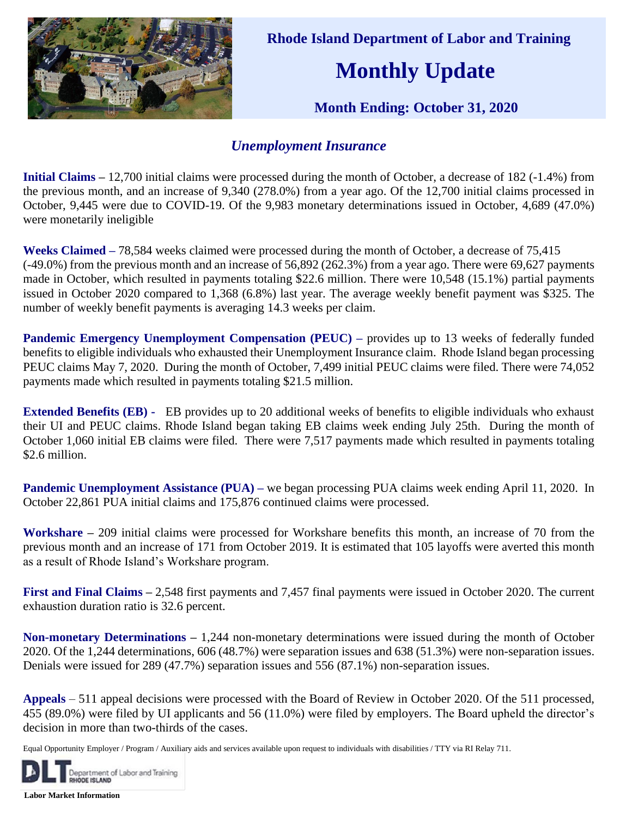

 **Rhode Island Department of Labor and Training**

## **Monthly Update**

 **Month Ending: October 31, 2020** 

## *Unemployment Insurance*

**Initial Claims –** 12,700 initial claims were processed during the month of October, a decrease of 182 (-1.4%) from the previous month, and an increase of 9,340 (278.0%) from a year ago. Of the 12,700 initial claims processed in October, 9,445 were due to COVID-19. Of the 9,983 monetary determinations issued in October, 4,689 (47.0%) were monetarily ineligible

**Weeks Claimed –** 78,584 weeks claimed were processed during the month of October, a decrease of 75,415 (-49.0%) from the previous month and an increase of 56,892 (262.3%) from a year ago. There were 69,627 payments made in October, which resulted in payments totaling \$22.6 million. There were 10,548 (15.1%) partial payments issued in October 2020 compared to 1,368 (6.8%) last year. The average weekly benefit payment was \$325. The number of weekly benefit payments is averaging 14.3 weeks per claim.

**Pandemic Emergency Unemployment Compensation (PEUC) – provides up to 13 weeks of federally funded** benefits to eligible individuals who exhausted their Unemployment Insurance claim. Rhode Island began processing PEUC claims May 7, 2020. During the month of October, 7,499 initial PEUC claims were filed. There were 74,052 payments made which resulted in payments totaling \$21.5 million.

**Extended Benefits (EB) -** EB provides up to 20 additional weeks of benefits to eligible individuals who exhaust their UI and PEUC claims. Rhode Island began taking EB claims week ending July 25th. During the month of October 1,060 initial EB claims were filed. There were 7,517 payments made which resulted in payments totaling \$2.6 million.

**Pandemic Unemployment Assistance (PUA) – we began processing PUA claims week ending April 11, 2020. In** October 22,861 PUA initial claims and 175,876 continued claims were processed.

**Workshare –** 209 initial claims were processed for Workshare benefits this month, an increase of 70 from the previous month and an increase of 171 from October 2019. It is estimated that 105 layoffs were averted this month as a result of Rhode Island's Workshare program.

**First and Final Claims –** 2,548 first payments and 7,457 final payments were issued in October 2020. The current exhaustion duration ratio is 32.6 percent.

**Non-monetary Determinations –** 1,244 non-monetary determinations were issued during the month of October 2020. Of the 1,244 determinations, 606 (48.7%) were separation issues and 638 (51.3%) were non-separation issues. Denials were issued for 289 (47.7%) separation issues and 556 (87.1%) non-separation issues.

**Appeals** – 511 appeal decisions were processed with the Board of Review in October 2020. Of the 511 processed, 455 (89.0%) were filed by UI applicants and 56 (11.0%) were filed by employers. The Board upheld the director's decision in more than two-thirds of the cases.

Equal Opportunity Employer / Program / Auxiliary aids and services available upon request to individuals with disabilities / TTY via RI Relay 711.



**Labor Market Information**